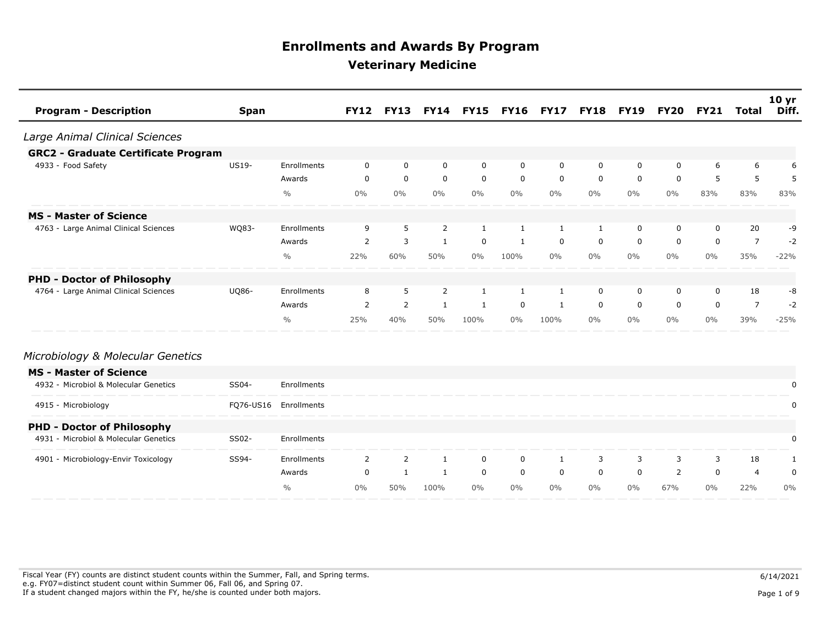| <b>Program - Description</b>               | <b>Span</b>  |               | <b>FY12</b> | <b>FY13</b>    | <b>FY14</b>  |             | <b>FY15 FY16</b> | <b>FY17</b> | <b>FY18</b> | <b>FY19</b> | FY20        | <b>FY21</b> | Total          | 10 <sub>yr</sub><br>Diff. |
|--------------------------------------------|--------------|---------------|-------------|----------------|--------------|-------------|------------------|-------------|-------------|-------------|-------------|-------------|----------------|---------------------------|
| Large Animal Clinical Sciences             |              |               |             |                |              |             |                  |             |             |             |             |             |                |                           |
| <b>GRC2 - Graduate Certificate Program</b> |              |               |             |                |              |             |                  |             |             |             |             |             |                |                           |
| 4933 - Food Safety                         | US19-        | Enrollments   | 0           | 0              | 0            | $\mathbf 0$ | 0                | 0           | 0           | 0           | 0           | 6           | 6              | 6                         |
|                                            |              | Awards        | $\mathbf 0$ | $\mathbf 0$    | $\mathbf 0$  | $\mathbf 0$ | $\mathbf 0$      | $\mathbf 0$ | $\mathbf 0$ | $\mathbf 0$ | $\mathbf 0$ | 5           | 5              | 5                         |
|                                            |              | $\frac{0}{0}$ | $0\%$       | $0\%$          | $0\%$        | $0\%$       | $0\%$            | $0\%$       | $0\%$       | $0\%$       | $0\%$       | 83%         | 83%            | 83%                       |
| <b>MS - Master of Science</b>              |              |               |             |                |              |             |                  |             |             |             |             |             |                |                           |
| 4763 - Large Animal Clinical Sciences      | WQ83-        | Enrollments   | 9           | 5              | 2            | 1           | $\mathbf{1}$     | 1           | 1           | 0           | 0           | 0           | 20             | -9                        |
|                                            |              | Awards        | 2           | 3              | 1            | 0           | 1                | 0           | 0           | $\mathbf 0$ | 0           | $\mathbf 0$ | $\overline{7}$ | $-2$                      |
|                                            |              | $\frac{0}{0}$ | 22%         | 60%            | 50%          | $0\%$       | 100%             | $0\%$       | $0\%$       | $0\%$       | $0\%$       | $0\%$       | 35%            | $-22%$                    |
| <b>PHD - Doctor of Philosophy</b>          |              |               |             |                |              |             |                  |             |             |             |             |             |                |                           |
| 4764 - Large Animal Clinical Sciences      | <b>UQ86-</b> | Enrollments   | 8           | 5              | 2            | 1           | 1                | 1           | 0           | 0           | 0           | 0           | 18             | -8                        |
|                                            |              | Awards        | 2           | $\overline{2}$ | $\mathbf{1}$ | 1           | 0                | 1           | 0           | 0           | 0           | $\mathbf 0$ | 7              | $-2$                      |
|                                            |              | $\frac{0}{0}$ | 25%         | 40%            | 50%          | 100%        | $0\%$            | 100%        | $0\%$       | $0\%$       | $0\%$       | $0\%$       | 39%            | $-25%$                    |
| Microbiology & Molecular Genetics          |              |               |             |                |              |             |                  |             |             |             |             |             |                |                           |
| <b>MS - Master of Science</b>              |              |               |             |                |              |             |                  |             |             |             |             |             |                |                           |
| 4932 - Microbiol & Molecular Genetics      | SS04-        | Enrollments   |             |                |              |             |                  |             |             |             |             |             |                | 0                         |
| 4915 - Microbiology                        | FQ76-US16    | Enrollments   |             |                |              |             |                  |             |             |             |             |             |                | 0                         |
| <b>PHD - Doctor of Philosophy</b>          |              |               |             |                |              |             |                  |             |             |             |             |             |                |                           |
| 4931 - Microbiol & Molecular Genetics      | SS02-        | Enrollments   |             |                |              |             |                  |             |             |             |             |             |                | 0                         |
| 4901 - Microbiology-Envir Toxicology       | SS94-        | Enrollments   | 2           | 2              | $\mathbf{1}$ | $\mathbf 0$ | 0                | 1           | 3           | 3           | 3           | 3           | 18             | 1                         |
|                                            |              | Awards        | $\mathbf 0$ | $\mathbf{1}$   | $\mathbf{1}$ | $\mathbf 0$ | $\mathbf 0$      | $\mathbf 0$ | 0           | $\mathbf 0$ | 2           | $\mathbf 0$ | $\overline{4}$ | 0                         |
|                                            |              | $\frac{0}{0}$ | $0\%$       | 50%            | 100%         | $0\%$       | $0\%$            | $0\%$       | $0\%$       | $0\%$       | 67%         | $0\%$       | 22%            | $0\%$                     |

Fiscal Year (FY) counts are distinct student counts within the Summer, Fall, and Spring terms.  $6/14/2021$  e.g. FY07=distinct student count within Summer 06, Fall 06, and Spring 07. If a student changed majors within the FY, he/she is counted under both majors. Page 1 of 9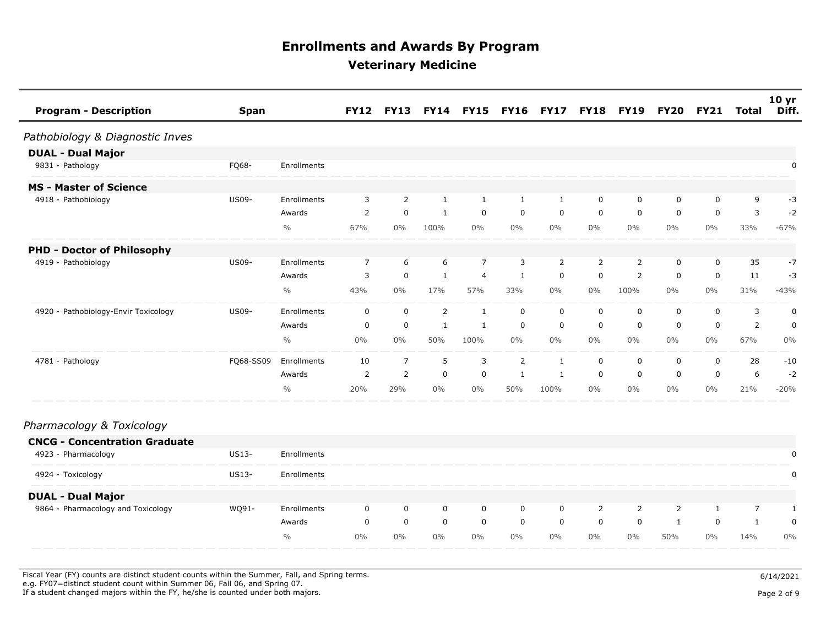| <b>Program - Description</b>         | <b>Span</b>  |               | <b>FY12</b> | <b>FY13</b> |                | FY14 FY15 FY16 FY17 |             |             | <b>FY18</b> | <b>FY19</b> | <b>FY20</b> | <b>FY21</b> | Total          | 10 <sub>yr</sub><br>Diff. |
|--------------------------------------|--------------|---------------|-------------|-------------|----------------|---------------------|-------------|-------------|-------------|-------------|-------------|-------------|----------------|---------------------------|
| Pathobiology & Diagnostic Inves      |              |               |             |             |                |                     |             |             |             |             |             |             |                |                           |
| <b>DUAL - Dual Major</b>             |              |               |             |             |                |                     |             |             |             |             |             |             |                |                           |
| 9831 - Pathology                     | FQ68-        | Enrollments   |             |             |                |                     |             |             |             |             |             |             |                | 0                         |
| <b>MS - Master of Science</b>        |              |               |             |             |                |                     |             |             |             |             |             |             |                |                           |
| 4918 - Pathobiology                  | <b>US09-</b> | Enrollments   | 3           | 2           | $\mathbf{1}$   | 1                   |             |             | 0           | 0           | 0           | 0           | 9              | -3                        |
|                                      |              | Awards        | 2           | $\mathbf 0$ | 1              | $\mathbf 0$         | $\mathbf 0$ | $\mathbf 0$ | $\mathbf 0$ | $\mathbf 0$ | 0           | $\mathbf 0$ | 3              | $-2$                      |
|                                      |              | $\frac{0}{0}$ | 67%         | $0\%$       | 100%           | $0\%$               | $0\%$       | $0\%$       | $0\%$       | $0\%$       | $0\%$       | $0\%$       | 33%            | $-67%$                    |
| <b>PHD - Doctor of Philosophy</b>    |              |               |             |             |                |                     |             |             |             |             |             |             |                |                           |
| 4919 - Pathobiology                  | <b>US09-</b> | Enrollments   | 7           | 6           | 6              | 7                   | 3           | 2           | 2           | 2           | 0           | 0           | 35             | $-7$                      |
|                                      |              | Awards        | 3           | $\mathbf 0$ | $\mathbf{1}$   | $\overline{4}$      | 1           | 0           | 0           | 2           | 0           | $\mathbf 0$ | 11             | -3                        |
|                                      |              | $\frac{0}{0}$ | 43%         | $0\%$       | 17%            | 57%                 | 33%         | $0\%$       | $0\%$       | 100%        | $0\%$       | $0\%$       | 31%            | $-43%$                    |
| 4920 - Pathobiology-Envir Toxicology | <b>US09-</b> | Enrollments   | 0           | 0           | $\overline{2}$ | 1                   | 0           | 0           | 0           | 0           | 0           | 0           | 3              | 0                         |
|                                      |              | Awards        | 0           | $\mathbf 0$ | $\mathbf{1}$   | -1                  | $\mathbf 0$ | $\mathbf 0$ | $\mathbf 0$ | $\mathbf 0$ | 0           | $\mathbf 0$ | $\overline{2}$ | 0                         |
|                                      |              | $\frac{0}{0}$ | $0\%$       | $0\%$       | 50%            | 100%                | $0\%$       | $0\%$       | $0\%$       | $0\%$       | $0\%$       | $0\%$       | 67%            | 0%                        |
| 4781 - Pathology                     | FQ68-SS09    | Enrollments   | 10          | 7           | 5              | 3                   | 2           | -1          | 0           | 0           | 0           | 0           | 28             | $-10$                     |
|                                      |              | Awards        | 2           | 2           | $\mathbf 0$    | $\mathbf 0$         |             | -1          | 0           | 0           | 0           | $\mathbf 0$ | 6              | $-2$                      |
|                                      |              | $\frac{0}{0}$ | 20%         | 29%         | $0\%$          | $0\%$               | 50%         | 100%        | $0\%$       | $0\%$       | $0\%$       | 0%          | 21%            | $-20%$                    |

#### *Pharmacology & Toxicology*

| <b>CNCG - Concentration Graduate</b> |              |               |       |       |       |          |    |              |              |              |     |    |            |          |
|--------------------------------------|--------------|---------------|-------|-------|-------|----------|----|--------------|--------------|--------------|-----|----|------------|----------|
| 4923 - Pharmacology<br>________      | US13-        | Enrollments   |       |       |       |          |    |              |              |              |     |    | __________ |          |
| 4924 - Toxicology                    | <b>US13-</b> | Enrollments   |       |       |       |          |    |              |              |              |     |    |            |          |
| <b>DUAL - Dual Major</b>             |              |               |       |       |       |          |    |              |              |              |     |    |            |          |
| 9864 - Pharmacology and Toxicology   | WO91-        | Enrollments   |       |       |       | 0        | 0  | <sup>0</sup> |              |              |     |    |            |          |
|                                      |              | Awards        |       |       |       | $\Omega$ | 0  | <sup>0</sup> | <sup>0</sup> | <sup>0</sup> |     |    |            | $\Omega$ |
| _________                            |              | $\frac{0}{0}$ | $0\%$ | $0\%$ | $0\%$ | $0\%$    | 0% | $0\%$        | $0\%$        | $0\%$        | 50% | 0% | 14%        | $0\%$    |

Fiscal Year (FY) counts are distinct student counts within the Summer, Fall, and Spring terms.  $6/14/2021$ e.g. FY07=distinct student count within Summer 06, Fall 06, and Spring 07.

If a student changed majors within the FY, he/she is counted under both majors. Page 2 of 9 and the student student changed majors within the FY, he/she is counted under both majors.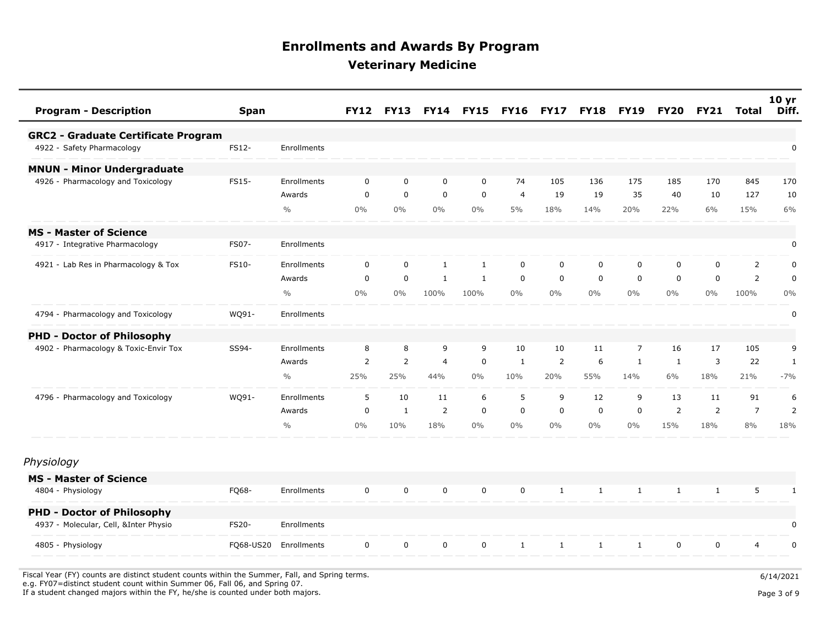| <b>Program - Description</b>               | <b>Span</b>  |               | <b>FY12</b>    | <b>FY13</b>  |                | <b>FY14 FY15</b> | <b>FY16</b>    | <b>FY17</b>  | <b>FY18</b>  | <b>FY19</b>    | <b>FY20</b>    | <b>FY21</b>    | Total          | 10 <sub>yr</sub><br>Diff. |
|--------------------------------------------|--------------|---------------|----------------|--------------|----------------|------------------|----------------|--------------|--------------|----------------|----------------|----------------|----------------|---------------------------|
| <b>GRC2 - Graduate Certificate Program</b> |              |               |                |              |                |                  |                |              |              |                |                |                |                |                           |
| 4922 - Safety Pharmacology                 | FS12-        | Enrollments   |                |              |                |                  |                |              |              |                |                |                |                | 0                         |
| <b>MNUN - Minor Undergraduate</b>          |              |               |                |              |                |                  |                |              |              |                |                |                |                |                           |
| 4926 - Pharmacology and Toxicology         | FS15-        | Enrollments   | $\mathbf 0$    | $\mathbf 0$  | $\mathbf 0$    | $\mathbf 0$      | 74             | 105          | 136          | 175            | 185            | 170            | 845            | 170                       |
|                                            |              | Awards        | $\mathbf 0$    | $\mathbf 0$  | $\mathbf 0$    | $\mathbf 0$      | $\overline{4}$ | 19           | 19           | 35             | 40             | 10             | 127            | 10                        |
|                                            |              | $\frac{0}{0}$ | $0\%$          | $0\%$        | $0\%$          | $0\%$            | 5%             | 18%          | 14%          | 20%            | 22%            | 6%             | 15%            | 6%                        |
| <b>MS - Master of Science</b>              |              |               |                |              |                |                  |                |              |              |                |                |                |                |                           |
| 4917 - Integrative Pharmacology            | <b>FS07-</b> | Enrollments   |                |              |                |                  |                |              |              |                |                |                |                | $\pmb{0}$                 |
| 4921 - Lab Res in Pharmacology & Tox       | FS10-        | Enrollments   | $\mathbf 0$    | $\mathbf 0$  | $\mathbf{1}$   | $\mathbf{1}$     | $\mathbf 0$    | $\mathbf 0$  | $\mathbf 0$  | 0              | 0              | $\mathbf 0$    | $\overline{2}$ | 0                         |
|                                            |              | Awards        | $\mathbf 0$    | $\mathbf 0$  | $\mathbf{1}$   | 1                | $\mathbf 0$    | $\mathbf 0$  | $\mathbf 0$  | $\mathbf 0$    | 0              | $\mathbf 0$    | $\overline{2}$ | $\pmb{0}$                 |
|                                            |              | $\frac{0}{0}$ | $0\%$          | $0\%$        | 100%           | 100%             | $0\%$          | $0\%$        | $0\%$        | $0\%$          | $0\%$          | $0\%$          | 100%           | $0\%$                     |
| 4794 - Pharmacology and Toxicology         | WQ91-        | Enrollments   |                |              |                |                  |                |              |              |                |                |                |                | $\mathbf 0$               |
| <b>PHD - Doctor of Philosophy</b>          |              |               |                |              |                |                  |                |              |              |                |                |                |                |                           |
| 4902 - Pharmacology & Toxic-Envir Tox      | SS94-        | Enrollments   | 8              | 8            | 9              | 9                | 10             | 10           | 11           | $\overline{7}$ | 16             | 17             | 105            | 9                         |
|                                            |              | Awards        | $\overline{2}$ | 2            | $\overline{4}$ | $\mathbf 0$      | 1              | 2            | 6            | $\mathbf{1}$   | 1              | 3              | 22             | $\mathbf{1}$              |
|                                            |              | $\frac{0}{0}$ | 25%            | 25%          | 44%            | $0\%$            | 10%            | 20%          | 55%          | 14%            | 6%             | 18%            | 21%            | $-7%$                     |
| 4796 - Pharmacology and Toxicology         | WQ91-        | Enrollments   | 5              | 10           | 11             | 6                | 5              | 9            | 12           | 9              | 13             | 11             | 91             | 6                         |
|                                            |              | Awards        | $\mathbf 0$    | $\mathbf{1}$ | 2              | $\mathbf 0$      | $\mathbf 0$    | $\mathbf 0$  | $\mathbf 0$  | $\mathbf 0$    | $\overline{2}$ | $\overline{2}$ | $\overline{7}$ | $\overline{2}$            |
|                                            |              | $\frac{0}{0}$ | $0\%$          | 10%          | 18%            | $0\%$            | $0\%$          | $0\%$        | $0\%$        | $0\%$          | 15%            | 18%            | 8%             | 18%                       |
| Physiology                                 |              |               |                |              |                |                  |                |              |              |                |                |                |                |                           |
| <b>MS - Master of Science</b>              |              |               |                |              |                |                  |                |              |              |                |                |                |                |                           |
| 4804 - Physiology                          | FQ68-        | Enrollments   | $\mathbf 0$    | $\mathbf 0$  | $\mathbf 0$    | $\mathbf 0$      | $\mathbf 0$    | 1            | 1            | 1              | 1              | 1              | 5              | 1                         |
| <b>PHD - Doctor of Philosophy</b>          |              |               |                |              |                |                  |                |              |              |                |                |                |                |                           |
| 4937 - Molecular, Cell, &Inter Physio      | FS20-        | Enrollments   |                |              |                |                  |                |              |              |                |                |                |                | 0                         |
| 4805 - Physiology                          | FQ68-US20    | Enrollments   | $\mathsf{O}$   | $\mathbf 0$  | $\mathbf 0$    | $\mathbf 0$      | $\mathbf{1}$   | $\mathbf{1}$ | $\mathbf{1}$ | $\mathbf{1}$   | $\mathbf 0$    | $\mathbf 0$    | $\overline{4}$ | $\mathbf 0$               |
|                                            |              |               |                |              |                |                  |                |              |              |                |                |                |                |                           |

Fiscal Year (FY) counts are distinct student counts within the Summer, Fall, and Spring terms.  $6/14/2021$ e.g. FY07=distinct student count within Summer 06, Fall 06, and Spring 07.

If a student changed majors within the FY, he/she is counted under both majors. Page 3 of 9 and the student student changed majors within the FY, he/she is counted under both majors.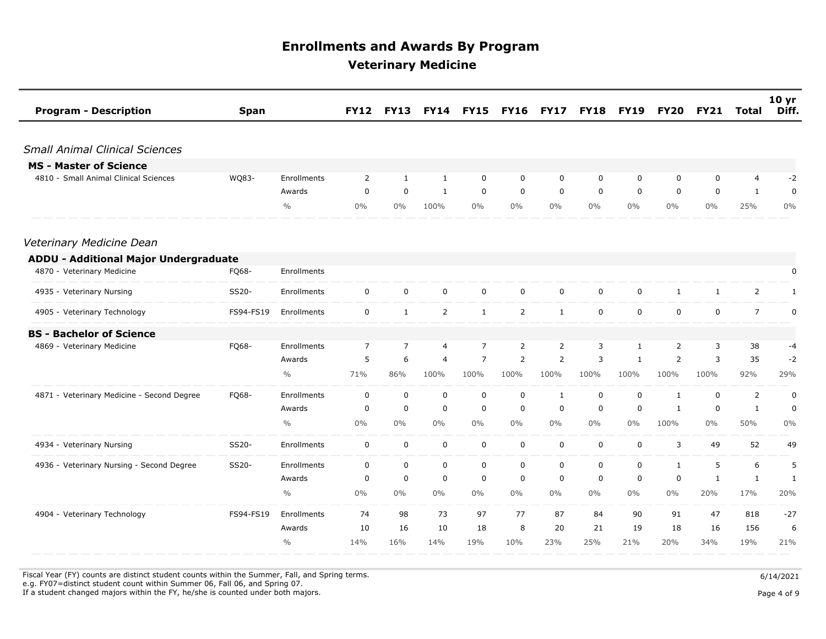| <b>Program - Description</b><br><b>Span</b>         |               | <b>FY12</b>    | <b>FY13</b>    | <b>FY14</b>    | <b>FY15</b>    | <b>FY16</b>    | <b>FY17</b>    | <b>FY18</b> | <b>FY19</b>  | <b>FY20</b>    | <b>FY21</b>  | Total          | 10 <sub>yr</sub><br>Diff. |
|-----------------------------------------------------|---------------|----------------|----------------|----------------|----------------|----------------|----------------|-------------|--------------|----------------|--------------|----------------|---------------------------|
| <b>Small Animal Clinical Sciences</b>               |               |                |                |                |                |                |                |             |              |                |              |                |                           |
| <b>MS - Master of Science</b>                       |               |                |                |                |                |                |                |             |              |                |              |                |                           |
| 4810 - Small Animal Clinical Sciences<br>WQ83-      | Enrollments   | $\overline{2}$ | 1              | $\mathbf{1}$   | 0              | $\mathbf 0$    | $\mathbf 0$    | $\mathbf 0$ | $\mathbf 0$  | 0              | $\mathbf 0$  | 4              | $-2$                      |
|                                                     | Awards        | 0              | 0              | $\mathbf{1}$   | 0              | 0              | 0              | 0           | 0            | 0              | 0            | $\mathbf{1}$   | 0                         |
|                                                     | $\frac{0}{0}$ | $0\%$          | $0\%$          | 100%           | $0\%$          | $0\%$          | $0\%$          | $0\%$       | $0\%$        | $0\%$          | $0\%$        | 25%            | $0\%$                     |
| Veterinary Medicine Dean                            |               |                |                |                |                |                |                |             |              |                |              |                |                           |
| <b>ADDU - Additional Major Undergraduate</b>        |               |                |                |                |                |                |                |             |              |                |              |                |                           |
| 4870 - Veterinary Medicine<br>FQ68-                 | Enrollments   |                |                |                |                |                |                |             |              |                |              |                | 0                         |
| SS20-<br>4935 - Veterinary Nursing                  | Enrollments   | $\mathbf 0$    | $\mathbf 0$    | $\mathsf 0$    | $\mathbf 0$    | $\mathbf 0$    | $\mathbf 0$    | $\mathbf 0$ | 0            | $\mathbf{1}$   | $\mathbf{1}$ | $\overline{2}$ | $\mathbf{1}$              |
| 4905 - Veterinary Technology<br>FS94-FS19           | Enrollments   | $\mathsf{O}$   | $\mathbf{1}$   | $\overline{2}$ | $\mathbf{1}$   | $\overline{2}$ | $\mathbf{1}$   | $\mathbf 0$ | $\mathbf 0$  | $\mathbf 0$    | $\mathbf 0$  | $\overline{7}$ | $\mathbf 0$               |
| <b>BS - Bachelor of Science</b>                     |               |                |                |                |                |                |                |             |              |                |              |                |                           |
| FQ68-<br>4869 - Veterinary Medicine                 | Enrollments   | $\overline{7}$ | $\overline{7}$ | 4              | $\overline{7}$ | $\overline{2}$ | $\overline{2}$ | 3           | 1            | $\overline{2}$ | 3            | 38             | -4                        |
|                                                     | Awards        | 5              | 6              | $\overline{4}$ | $\overline{7}$ | $\overline{2}$ | 2              | 3           | $\mathbf{1}$ | $\overline{2}$ | 3            | 35             | $-2$                      |
|                                                     | $\frac{0}{0}$ | 71%            | 86%            | 100%           | 100%           | 100%           | 100%           | 100%        | 100%         | 100%           | 100%         | 92%            | 29%                       |
| 4871 - Veterinary Medicine - Second Degree<br>FQ68- | Enrollments   | $\mathbf 0$    | $\mathbf 0$    | $\mathbf 0$    | 0              | $\mathbf 0$    | $\mathbf{1}$   | $\mathbf 0$ | $\mathbf 0$  | $\mathbf{1}$   | 0            | $\overline{2}$ | 0                         |
|                                                     | Awards        | $\mathbf 0$    | $\mathbf 0$    | $\mathbf 0$    | $\mathbf 0$    | $\mathbf 0$    | $\mathbf 0$    | $\mathbf 0$ | $\mathbf 0$  | $\mathbf{1}$   | $\mathbf 0$  | $\mathbf{1}$   | $\mathbf 0$               |
|                                                     | $\frac{0}{0}$ | $0\%$          | $0\%$          | 0%             | $0\%$          | $0\%$          | $0\%$          | $0\%$       | $0\%$        | 100%           | $0\%$        | 50%            | $0\%$                     |
| SS20-<br>4934 - Veterinary Nursing                  | Enrollments   | $\mathsf{O}$   | $\mathbf 0$    | $\mathbf 0$    | $\mathbf 0$    | $\mathbf 0$    | $\mathbf 0$    | $\mathbf 0$ | $\mathbf 0$  | 3              | 49           | 52             | 49                        |
| SS20-<br>4936 - Veterinary Nursing - Second Degree  | Enrollments   | $\mathbf 0$    | $\mathbf 0$    | $\mathbf 0$    | $\mathbf 0$    | $\mathbf 0$    | $\mathbf 0$    | $\mathbf 0$ | $\mathbf 0$  | $\mathbf{1}$   | 5            | 6              | 5                         |
|                                                     | Awards        | $\mathbf 0$    | $\mathbf 0$    | 0              | $\mathbf 0$    | $\mathbf 0$    | $\mathbf 0$    | $\mathbf 0$ | $\mathbf 0$  | $\mathbf 0$    | $\mathbf{1}$ | $\mathbf{1}$   | 1                         |
|                                                     | $\frac{0}{0}$ | $0\%$          | $0\%$          | $0\%$          | $0\%$          | $0\%$          | $0\%$          | $0\%$       | $0\%$        | $0\%$          | 20%          | 17%            | 20%                       |
| 4904 - Veterinary Technology<br>FS94-FS19           | Enrollments   | 74             | 98             | 73             | 97             | 77             | 87             | 84          | 90           | 91             | 47           | 818            | $-27$                     |
|                                                     | Awards        | 10             | 16             | 10             | 18             | 8              | 20             | 21          | 19           | 18             | 16           | 156            | 6                         |
|                                                     | $\frac{0}{0}$ | 14%            | 16%            | 14%            | 19%            | 10%            | 23%            | 25%         | 21%          | 20%            | 34%          | 19%            | 21%                       |

Fiscal Year (FY) counts are distinct student counts within the Summer, Fall, and Spring terms.  $6/14/2021$ 

e.g. FY07=distinct student count within Summer 06, Fall 06, and Spring 07.

If a student changed majors within the FY, he/she is counted under both majors. Page 4 of 9

Page 4 of 9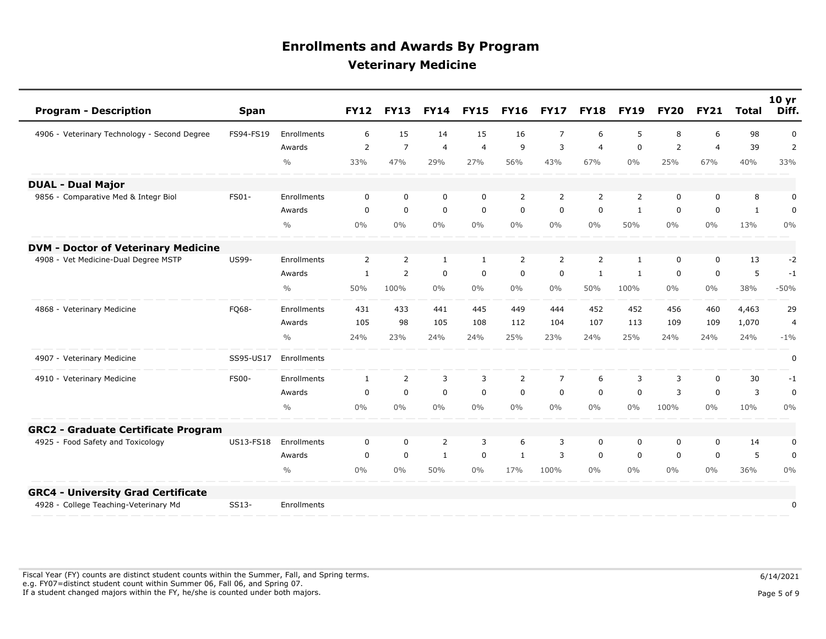| <b>Program - Description</b>                 | <b>Span</b>  |               | <b>FY12</b>    | <b>FY13</b>    | <b>FY14</b>    | <b>FY15</b>    | <b>FY16</b>    | <b>FY17</b>    | <b>FY18</b>    | <b>FY19</b>  | <b>FY20</b> | <b>FY21</b>    | Total        | 10 <sub>yr</sub><br>Diff. |
|----------------------------------------------|--------------|---------------|----------------|----------------|----------------|----------------|----------------|----------------|----------------|--------------|-------------|----------------|--------------|---------------------------|
| 4906 - Veterinary Technology - Second Degree | FS94-FS19    | Enrollments   | 6              | 15             | 14             | 15             | 16             | $\overline{7}$ | 6              | 5            | 8           | 6              | 98           | 0                         |
|                                              |              | Awards        | $\overline{2}$ | $\overline{7}$ | $\overline{4}$ | $\overline{4}$ | 9              | 3              | $\overline{4}$ | $\mathbf 0$  | 2           | $\overline{4}$ | 39           | 2                         |
|                                              |              | $\frac{0}{0}$ | 33%            | 47%            | 29%            | 27%            | 56%            | 43%            | 67%            | $0\%$        | 25%         | 67%            | 40%          | 33%                       |
| <b>DUAL - Dual Major</b>                     |              |               |                |                |                |                |                |                |                |              |             |                |              |                           |
| 9856 - Comparative Med & Integr Biol         | FS01-        | Enrollments   | $\mathbf 0$    | $\mathbf 0$    | $\mathbf 0$    | $\mathbf 0$    | $\overline{2}$ | 2              | 2              | 2            | 0           | $\mathbf 0$    | 8            | $\pmb{0}$                 |
|                                              |              | Awards        | $\Omega$       | $\mathbf 0$    | $\mathbf 0$    | $\mathbf 0$    | $\mathbf 0$    | $\mathbf 0$    | $\mathbf{0}$   | $\mathbf{1}$ | $\mathbf 0$ | $\mathbf 0$    | $\mathbf{1}$ | $\mathbf 0$               |
|                                              |              | $\frac{0}{0}$ | $0\%$          | $0\%$          | $0\%$          | $0\%$          | $0\%$          | $0\%$          | $0\%$          | 50%          | $0\%$       | $0\%$          | 13%          | 0%                        |
| <b>DVM - Doctor of Veterinary Medicine</b>   |              |               |                |                |                |                |                |                |                |              |             |                |              |                           |
| 4908 - Vet Medicine-Dual Degree MSTP         | <b>US99-</b> | Enrollments   | $\overline{2}$ | 2              | $\mathbf{1}$   | $\mathbf{1}$   | $\overline{2}$ | $\overline{2}$ | 2              | $\mathbf{1}$ | 0           | $\mathbf 0$    | 13           | $-2$                      |
|                                              |              | Awards        | $\mathbf{1}$   | 2              | $\mathbf 0$    | $\mathbf 0$    | $\mathbf 0$    | $\mathbf 0$    | 1              | 1            | $\mathbf 0$ | 0              | 5            | $-1$                      |
|                                              |              | $\frac{0}{0}$ | 50%            | 100%           | $0\%$          | $0\%$          | $0\%$          | $0\%$          | 50%            | 100%         | $0\%$       | $0\%$          | 38%          | $-50%$                    |
| 4868 - Veterinary Medicine                   | FQ68-        | Enrollments   | 431            | 433            | 441            | 445            | 449            | 444            | 452            | 452          | 456         | 460            | 4,463        | 29                        |
|                                              |              | Awards        | 105            | 98             | 105            | 108            | 112            | 104            | 107            | 113          | 109         | 109            | 1,070        | $\overline{4}$            |
|                                              |              | $\frac{0}{0}$ | 24%            | 23%            | 24%            | 24%            | 25%            | 23%            | 24%            | 25%          | 24%         | 24%            | 24%          | $-1\%$                    |
| 4907 - Veterinary Medicine                   | SS95-US17    | Enrollments   |                |                |                |                |                |                |                |              |             |                |              | $\pmb{0}$                 |
| 4910 - Veterinary Medicine                   | <b>FS00-</b> | Enrollments   | $\mathbf{1}$   | $\overline{2}$ | 3              | 3              | $\overline{2}$ | $\overline{7}$ | 6              | 3            | 3           | $\mathbf 0$    | 30           | $-1$                      |
|                                              |              | Awards        | $\mathbf 0$    | $\mathbf 0$    | $\mathbf 0$    | $\mathbf 0$    | $\mathbf 0$    | $\mathbf 0$    | $\mathbf 0$    | $\mathbf 0$  | 3           | $\mathbf 0$    | 3            | $\mathbf 0$               |
|                                              |              | $\frac{0}{0}$ | $0\%$          | $0\%$          | $0\%$          | $0\%$          | $0\%$          | $0\%$          | $0\%$          | $0\%$        | 100%        | $0\%$          | 10%          | 0%                        |
| <b>GRC2 - Graduate Certificate Program</b>   |              |               |                |                |                |                |                |                |                |              |             |                |              |                           |
| 4925 - Food Safety and Toxicology            | US13-FS18    | Enrollments   | $\mathbf 0$    | $\mathbf 0$    | 2              | 3              | 6              | 3              | $\mathbf 0$    | 0            | 0           | $\mathbf 0$    | 14           | 0                         |
|                                              |              | Awards        | $\mathbf 0$    | $\mathbf 0$    | 1              | $\mathbf 0$    | 1              | 3              | 0              | 0            | 0           | $\mathbf 0$    | 5            | 0                         |
|                                              |              | $\frac{0}{0}$ | $0\%$          | $0\%$          | 50%            | $0\%$          | 17%            | 100%           | $0\%$          | $0\%$        | $0\%$       | $0\%$          | 36%          | 0%                        |
| <b>GRC4 - University Grad Certificate</b>    |              |               |                |                |                |                |                |                |                |              |             |                |              |                           |
| 4928 - College Teaching-Veterinary Md        | SS13-        | Enrollments   |                |                |                |                |                |                |                |              |             |                |              | 0                         |

Fiscal Year (FY) counts are distinct student counts within the Summer, Fall, and Spring terms.  $6/14/2021$  e.g. FY07=distinct student count within Summer 06, Fall 06, and Spring 07. If a student changed majors within the FY, he/she is counted under both majors. Page 5 of 9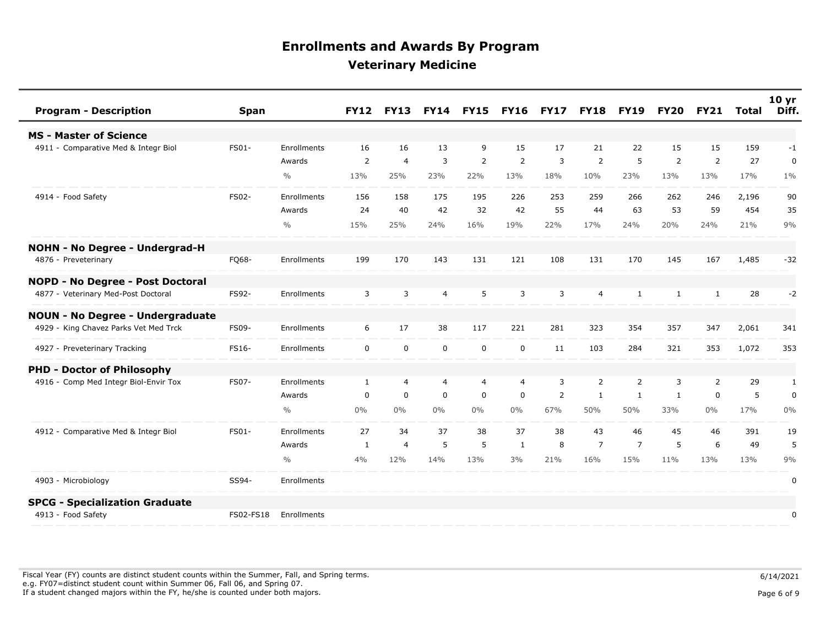| <b>Program - Description</b>            | <b>Span</b> |               | <b>FY12</b>    | <b>FY13</b>    | <b>FY14</b>    | <b>FY15</b>    | <b>FY16</b>    | <b>FY17</b> | <b>FY18</b>    | <b>FY19</b>    | <b>FY20</b>  | <b>FY21</b>  | Total | 10 <sub>yr</sub><br>Diff. |
|-----------------------------------------|-------------|---------------|----------------|----------------|----------------|----------------|----------------|-------------|----------------|----------------|--------------|--------------|-------|---------------------------|
| <b>MS - Master of Science</b>           |             |               |                |                |                |                |                |             |                |                |              |              |       |                           |
| 4911 - Comparative Med & Integr Biol    | FS01-       | Enrollments   | 16             | 16             | 13             | 9              | 15             | 17          | 21             | 22             | 15           | 15           | 159   | $-1$                      |
|                                         |             | Awards        | $\overline{2}$ | $\overline{4}$ | 3              | $\overline{2}$ | $\overline{2}$ | 3           | $\overline{2}$ | 5              | 2            | 2            | 27    | 0                         |
|                                         |             | $\frac{0}{0}$ | 13%            | 25%            | 23%            | 22%            | 13%            | 18%         | 10%            | 23%            | 13%          | 13%          | 17%   | $1\%$                     |
| 4914 - Food Safety                      | FS02-       | Enrollments   | 156            | 158            | 175            | 195            | 226            | 253         | 259            | 266            | 262          | 246          | 2,196 | 90                        |
|                                         |             | Awards        | 24             | 40             | 42             | 32             | 42             | 55          | 44             | 63             | 53           | 59           | 454   | 35                        |
|                                         |             | $\frac{0}{0}$ | 15%            | 25%            | 24%            | 16%            | 19%            | 22%         | 17%            | 24%            | 20%          | 24%          | 21%   | 9%                        |
| <b>NOHN - No Degree - Undergrad-H</b>   |             |               |                |                |                |                |                |             |                |                |              |              |       |                           |
| 4876 - Preveterinary                    | FQ68-       | Enrollments   | 199            | 170            | 143            | 131            | 121            | 108         | 131            | 170            | 145          | 167          | 1,485 | $-32$                     |
| <b>NOPD - No Degree - Post Doctoral</b> |             |               |                |                |                |                |                |             |                |                |              |              |       |                           |
| 4877 - Veterinary Med-Post Doctoral     | FS92-       | Enrollments   | 3              | 3              | $\overline{4}$ | 5              | 3              | 3           | 4              | $\mathbf{1}$   | $\mathbf{1}$ | $\mathbf{1}$ | 28    | $-2$                      |
| <b>NOUN - No Degree - Undergraduate</b> |             |               |                |                |                |                |                |             |                |                |              |              |       |                           |
| 4929 - King Chavez Parks Vet Med Trck   | FS09-       | Enrollments   | 6              | 17             | 38             | 117            | 221            | 281         | 323            | 354            | 357          | 347          | 2,061 | 341                       |
| 4927 - Preveterinary Tracking           | FS16-       | Enrollments   | $\mathbf 0$    | $\mathbf 0$    | $\mathbf 0$    | $\mathbf 0$    | $\mathbf 0$    | 11          | 103            | 284            | 321          | 353          | 1,072 | 353                       |
| <b>PHD - Doctor of Philosophy</b>       |             |               |                |                |                |                |                |             |                |                |              |              |       |                           |
| 4916 - Comp Med Integr Biol-Envir Tox   | FS07-       | Enrollments   | 1              | $\overline{4}$ | 4              | 4              | 4              | 3           | 2              | 2              | 3            | 2            | 29    | 1                         |
|                                         |             | Awards        | $\mathbf 0$    | $\mathbf 0$    | 0              | $\mathbf 0$    | 0              | 2           | 1              | $\mathbf{1}$   | $\mathbf{1}$ | $\mathbf 0$  | 5     | $\pmb{0}$                 |
|                                         |             | $\frac{0}{0}$ | $0\%$          | $0\%$          | $0\%$          | $0\%$          | $0\%$          | 67%         | 50%            | 50%            | 33%          | $0\%$        | 17%   | 0%                        |
| 4912 - Comparative Med & Integr Biol    | FS01-       | Enrollments   | 27             | 34             | 37             | 38             | 37             | 38          | 43             | 46             | 45           | 46           | 391   | 19                        |
|                                         |             | Awards        | 1              | $\overline{4}$ | 5              | 5              | 1              | 8           | $\overline{7}$ | $\overline{7}$ | 5            | 6            | 49    | 5                         |
|                                         |             | $\frac{0}{0}$ | 4%             | 12%            | 14%            | 13%            | 3%             | 21%         | 16%            | 15%            | 11%          | 13%          | 13%   | 9%                        |
| 4903 - Microbiology                     | SS94-       | Enrollments   |                |                |                |                |                |             |                |                |              |              |       | 0                         |
| <b>SPCG - Specialization Graduate</b>   |             |               |                |                |                |                |                |             |                |                |              |              |       |                           |
| 4913 - Food Safety                      | FS02-FS18   | Enrollments   |                |                |                |                |                |             |                |                |              |              |       | 0                         |

Fiscal Year (FY) counts are distinct student counts within the Summer, Fall, and Spring terms.  $6/14/2021$  e.g. FY07=distinct student count within Summer 06, Fall 06, and Spring 07. If a student changed majors within the FY, he/she is counted under both majors. Page 6 of 9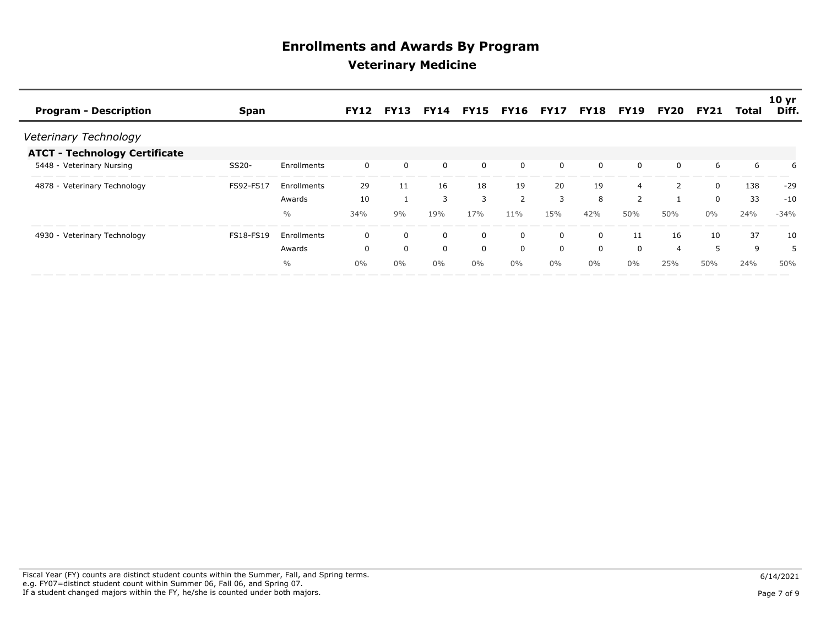|                                      |             |               |             |             |             |              |                       |          |             |                |      |             |       | 10 <sub>yr</sub> |
|--------------------------------------|-------------|---------------|-------------|-------------|-------------|--------------|-----------------------|----------|-------------|----------------|------|-------------|-------|------------------|
| <b>Program - Description</b>         | <b>Span</b> |               | <b>FY12</b> | <b>FY13</b> | <b>FY14</b> |              | <b>FY15 FY16 FY17</b> |          | <b>FY18</b> | <b>FY19</b>    | FY20 | <b>FY21</b> | Total | Diff.            |
| Veterinary Technology                |             |               |             |             |             |              |                       |          |             |                |      |             |       |                  |
| <b>ATCT - Technology Certificate</b> |             |               |             |             |             |              |                       |          |             |                |      |             |       |                  |
| 5448 - Veterinary Nursing            | SS20-       | Enrollments   | 0           | $\Omega$    | 0           | $\mathbf 0$  | 0                     | $\Omega$ | 0           | 0              | 0    | 6           | 6     | 6                |
| 4878 - Veterinary Technology         | FS92-FS17   | Enrollments   | 29          | 11          | 16          | 18           | 19                    | 20       | 19          | 4              |      | $\Omega$    | 138   | $-29$            |
|                                      |             | Awards        | 10          |             | 3           | 3            | $\overline{2}$        | 3        | 8           | $\overline{2}$ |      | $\Omega$    | 33    | $-10$            |
|                                      |             | $\frac{0}{0}$ | 34%         | 9%          | 19%         | 17%          | 11%                   | 15%      | 42%         | 50%            | 50%  | $0\%$       | 24%   | $-34%$           |
| 4930 - Veterinary Technology         | FS18-FS19   | Enrollments   | 0           | $\Omega$    | 0           | 0            | 0                     | 0        | 0           | 11             | 16   | 10          | 37    | 10               |
|                                      |             | Awards        | 0           | $\Omega$    | 0           | $\mathbf{0}$ | 0                     | 0        | 0           | $\Omega$       | 4    | 5           | 9     |                  |
|                                      |             | $\frac{0}{0}$ | $0\%$       | $0\%$       | $0\%$       | 0%           | $0\%$                 | $0\%$    | $0\%$       | $0\%$          | 25%  | 50%         | 24%   | 50%              |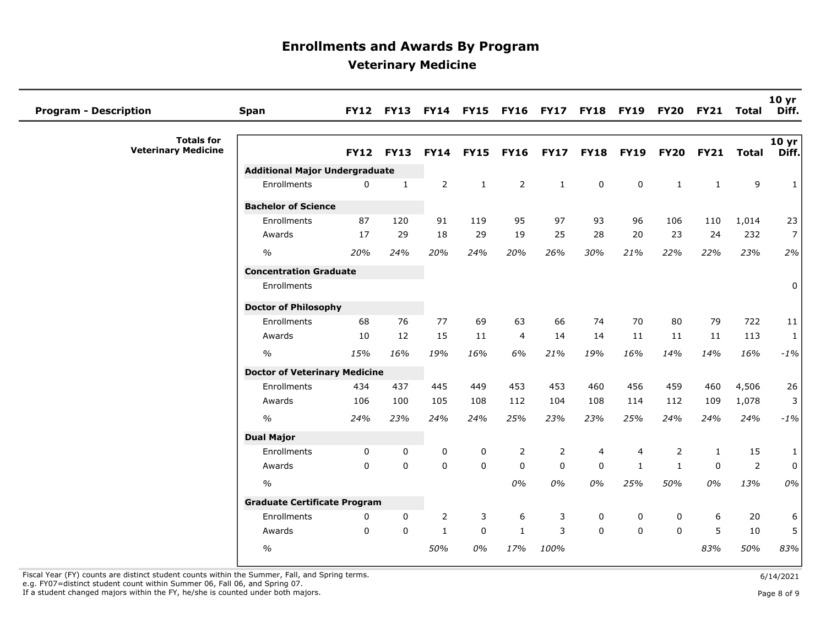| <b>Program - Description</b>                    | <b>Span</b>                           |             | <b>FY12 FY13</b> | <b>FY14</b>    |              | <b>FY15 FY16 FY17</b> |                | <b>FY18</b> | <b>FY19</b>    | <b>FY20</b>    | <b>FY21</b>  | <b>Total</b> | 10 <sub>yr</sub><br>Diff. |
|-------------------------------------------------|---------------------------------------|-------------|------------------|----------------|--------------|-----------------------|----------------|-------------|----------------|----------------|--------------|--------------|---------------------------|
| <b>Totals for</b><br><b>Veterinary Medicine</b> |                                       | <b>FY12</b> | <b>FY13</b>      | <b>FY14</b>    | <b>FY15</b>  | <b>FY16</b>           | <b>FY17</b>    | <b>FY18</b> | <b>FY19</b>    | <b>FY20</b>    | <b>FY21</b>  | <b>Total</b> | 10 yr<br>Diff.            |
|                                                 | <b>Additional Major Undergraduate</b> |             |                  |                |              |                       |                |             |                |                |              |              |                           |
|                                                 | Enrollments                           | 0           | 1                | $\overline{2}$ | $\mathbf{1}$ | 2                     | $\mathbf{1}$   | 0           | $\mathbf 0$    | $\mathbf{1}$   | $\mathbf{1}$ | 9            | $\mathbf{1}$              |
|                                                 | <b>Bachelor of Science</b>            |             |                  |                |              |                       |                |             |                |                |              |              |                           |
|                                                 | Enrollments                           | 87          | 120              | 91             | 119          | 95                    | 97             | 93          | 96             | 106            | 110          | 1,014        | 23                        |
|                                                 | Awards                                | 17          | 29               | 18             | 29           | 19                    | 25             | 28          | 20             | 23             | 24           | 232          | 7                         |
|                                                 | $\%$                                  | 20%         | 24%              | 20%            | 24%          | 20%                   | 26%            | 30%         | 21%            | 22%            | 22%          | 23%          | 2%                        |
|                                                 | <b>Concentration Graduate</b>         |             |                  |                |              |                       |                |             |                |                |              |              |                           |
|                                                 | Enrollments                           |             |                  |                |              |                       |                |             |                |                |              |              | 0                         |
|                                                 | <b>Doctor of Philosophy</b>           |             |                  |                |              |                       |                |             |                |                |              |              |                           |
|                                                 | Enrollments                           | 68          | 76               | 77             | 69           | 63                    | 66             | 74          | 70             | 80             | 79           | 722          | 11                        |
|                                                 | Awards                                | 10          | 12               | 15             | 11           | 4                     | 14             | 14          | 11             | 11             | 11           | 113          | $\mathbf{1}$              |
|                                                 | $\frac{0}{0}$                         | 15%         | 16%              | 19%            | 16%          | 6%                    | 21%            | 19%         | 16%            | 14%            | 14%          | 16%          | $-1%$                     |
|                                                 | <b>Doctor of Veterinary Medicine</b>  |             |                  |                |              |                       |                |             |                |                |              |              |                           |
|                                                 | Enrollments                           | 434         | 437              | 445            | 449          | 453                   | 453            | 460         | 456            | 459            | 460          | 4,506        | 26                        |
|                                                 | Awards                                | 106         | 100              | 105            | 108          | 112                   | 104            | 108         | 114            | 112            | 109          | 1,078        | 3                         |
|                                                 | $\%$                                  | 24%         | 23%              | 24%            | 24%          | 25%                   | 23%            | 23%         | 25%            | 24%            | 24%          | 24%          | $-1%$                     |
|                                                 | <b>Dual Major</b>                     |             |                  |                |              |                       |                |             |                |                |              |              |                           |
|                                                 | Enrollments                           | 0           | $\mathbf{0}$     | $\mathbf 0$    | $\mathbf 0$  | $\overline{2}$        | $\overline{2}$ | 4           | $\overline{4}$ | $\overline{2}$ | $\mathbf{1}$ | 15           | $\mathbf{1}$              |
|                                                 | Awards                                | $\Omega$    | $\Omega$         | $\mathbf 0$    | $\mathbf 0$  | $\mathbf 0$           | $\Omega$       | $\Omega$    | $\mathbf{1}$   | $\mathbf{1}$   | $\mathbf 0$  | $\mathbf 2$  | $\mathsf{O}$              |
|                                                 | $\frac{0}{0}$                         |             |                  |                |              | 0%                    | 0%             | 0%          | 25%            | 50%            | 0%           | 13%          | 0%                        |
|                                                 | <b>Graduate Certificate Program</b>   |             |                  |                |              |                       |                |             |                |                |              |              |                           |
|                                                 | Enrollments                           | 0           | $\mathbf{0}$     | $\overline{2}$ | 3            | 6                     | 3              | $\mathbf 0$ | 0              | 0              | 6            | 20           | 6                         |
|                                                 | Awards                                | 0           | $\mathbf 0$      | $\mathbf{1}$   | $\mathbf 0$  | $\mathbf{1}$          | 3              | $\Omega$    | $\mathbf 0$    | $\mathbf 0$    | 5            | 10           | 5                         |
|                                                 | $\frac{0}{0}$                         |             |                  | 50%            | 0%           | 17%                   | 100%           |             |                |                | 83%          | 50%          | 83%                       |

Fiscal Year (FY) counts are distinct student counts within the Summer, Fall, and Spring terms.<br>e.g. FY07=distinct student count within Summer 06, Fall 06, and Spring 07.

If a student changed majors within the FY, he/she is counted under both majors. Page 8 of 9 and the student student changed majors within the FY, he/she is counted under both majors.